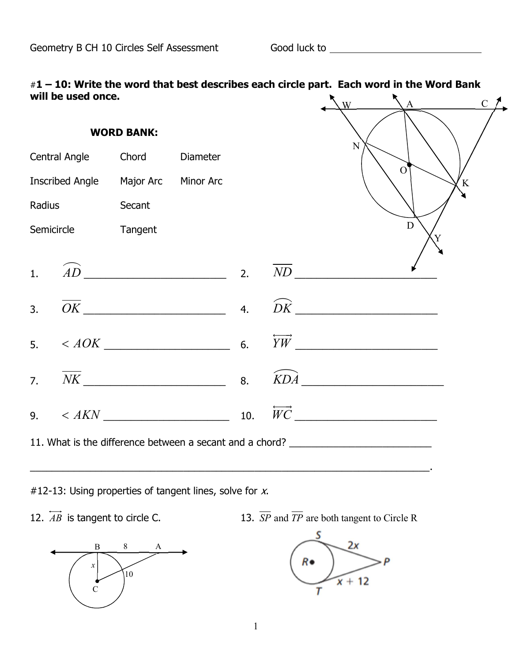| $#1 - 10$ : Write the word that best describes each circle part. Each word in the Word Bank |  |  |
|---------------------------------------------------------------------------------------------|--|--|
| will be used once.                                                                          |  |  |

| <b>WORD BANK:</b> |                        |           |                                                                                  |  |                 |                           |                |   |
|-------------------|------------------------|-----------|----------------------------------------------------------------------------------|--|-----------------|---------------------------|----------------|---|
|                   | Central Angle          | Chord     | <b>Diameter</b>                                                                  |  |                 | N                         |                |   |
|                   | <b>Inscribed Angle</b> | Major Arc | <b>Minor Arc</b>                                                                 |  |                 |                           | $\overline{O}$ | K |
| Radius            |                        | Secant    |                                                                                  |  |                 |                           |                |   |
|                   | Semicircle             | Tangent   |                                                                                  |  |                 |                           | D              |   |
| 1.                |                        |           | $\widehat{AD}$ 2.                                                                |  | $\overline{ND}$ |                           |                |   |
| $\overline{3}$ .  |                        |           | $\overline{OK}$ 4.                                                               |  |                 | $\widehat{DK}$            |                |   |
| 5 <sub>1</sub>    |                        |           | $< AOK$ 6.                                                                       |  |                 | $\overleftrightarrow{YW}$ |                |   |
| $\overline{7}$ .  |                        |           | $\overline{NK}$ 8. $\overline{KDA}$                                              |  |                 |                           |                |   |
|                   |                        |           | 9. $\lt AKN$ 10.                                                                 |  |                 | $\overrightarrow{WC}$     |                |   |
|                   |                        |           | 11. What is the difference between a secant and a chord? _______________________ |  |                 |                           |                |   |

#12-13: Using properties of tangent lines, solve for  $x$ .





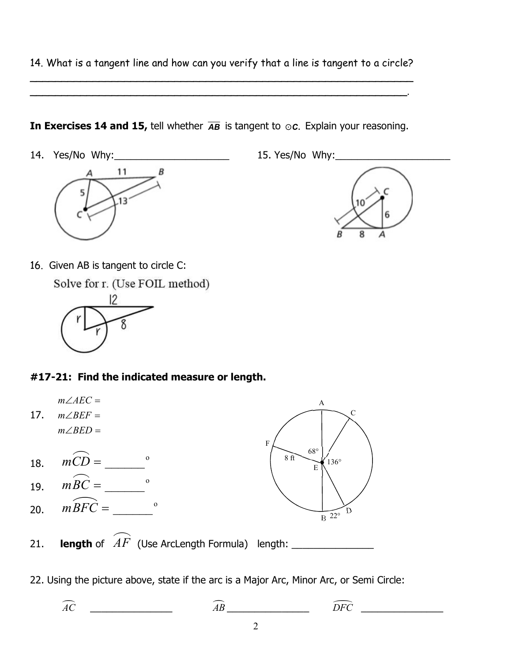14. What is a tangent line and how can you verify that a line is tangent to a circle?  $\overline{\phantom{a}}$ 

\_\_\_\_\_\_\_\_\_\_\_\_\_\_\_\_\_\_\_\_\_\_\_\_\_\_\_\_\_\_\_\_\_\_\_\_\_\_\_\_\_\_\_\_\_\_\_\_\_\_\_\_\_\_\_\_\_\_\_\_.

In Exercises 14 and 15, tell whether  $\overline{AB}$  is tangent to  $\odot c$ . Explain your reasoning.

14. Yes/No Why:\_\_\_\_\_\_\_\_\_\_\_\_\_\_\_\_\_\_\_\_\_ 15. Yes/No Why:\_\_\_\_\_\_\_\_\_\_\_\_\_\_\_\_\_\_\_\_\_





16. Given AB is tangent to circle C:

Solve for r. (Use FOIL method)



## #17-21: Find the indicated measure or length.



22. Using the picture above, state if the arc is a Major Arc, Minor Arc, or Semi Circle:

AC \_\_\_\_\_\_\_\_\_\_\_\_\_\_\_ AB \_\_\_\_\_\_\_\_\_\_\_\_\_\_\_ DFC \_\_\_\_\_\_\_\_\_\_\_\_\_\_\_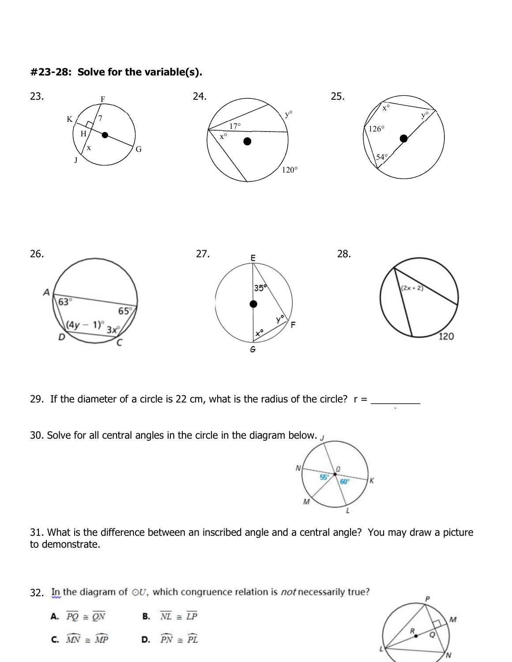## #23-28: Solve for the variable(s).



- 29. If the diameter of a circle is 22 cm, what is the radius of the circle?  $r =$
- 30. Solve for all central angles in the circle in the diagram below.  $\overline{J}$



31. What is the difference between an inscribed angle and a central angle? You may draw a picture to demonstrate.

32. In the diagram of  $\odot U$ , which congruence relation is *not* necessarily true?

- **A.**  $\overline{PQ} \cong \overline{QN}$  **B.**  $\overline{NL} \cong \overline{LP}$
- **C.**  $\widehat{MN} \cong \widehat{MP}$  **D.**  $\widehat{PN} \cong \widehat{PL}$

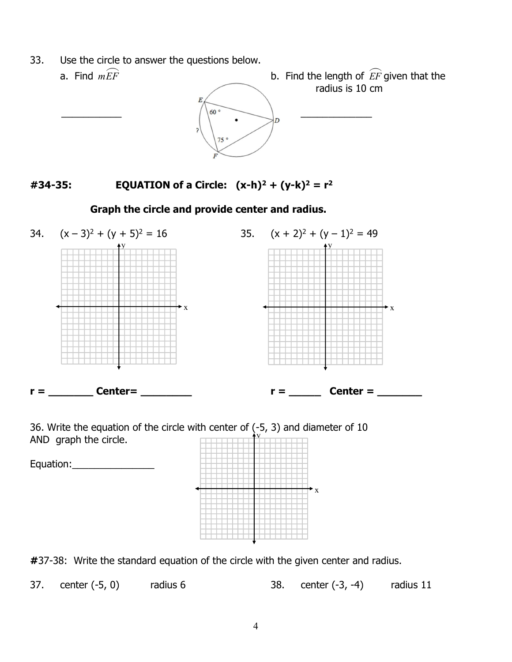33. Use the circle to answer the questions below.



#34-35: EQUATION of a Circle:  $(x-h)^2 + (y-k)^2 = r^2$ 

## Graph the circle and provide center and radius.



36. Write the equation of the circle with center of  $(-5, 3)$  and diameter of 10  $\sim$ AND graph the circle.



#37-38: Write the standard equation of the circle with the given center and radius.

37. center (-5, 0) radius 6 38. center (-3, -4) radius 11